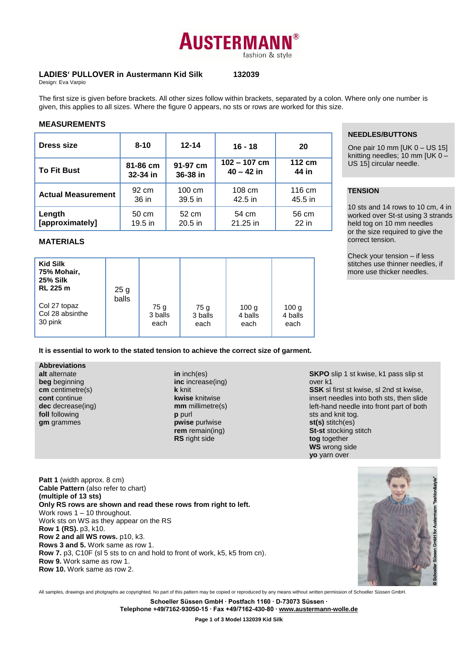# **AUSTERMAN** fashion & style

## **LADIES' PULLOVER in Austermann Kid Silk 132039**

Design: Eva Varpio

The first size is given before brackets. All other sizes follow within brackets, separated by a colon. Where only one number is given, this applies to all sizes. Where the figure 0 appears, no sts or rows are worked for this size.

## **MEASUREMENTS**

| Dress size                | $8 - 10$                                     | $12 - 14$        | $16 - 18$                      | 20              |
|---------------------------|----------------------------------------------|------------------|--------------------------------|-----------------|
| <b>To Fit Bust</b>        | 91-97 cm<br>81-86 cm<br>32-34 in<br>36-38 in |                  | $102 - 107$ cm<br>$40 - 42$ in | 112 cm<br>44 in |
| <b>Actual Measurement</b> | 92 cm                                        | $100 \text{ cm}$ | $108 \text{ cm}$               | 116 cm          |
|                           | 36 in                                        | $39.5$ in        | 42.5 in                        | 45.5 in         |
| Length                    | 50 cm                                        | 52 cm            | 54 cm                          | 56 cm           |
| [approximately]           | $19.5$ in                                    | $20.5$ in        | 21.25 in                       | $22$ in         |

## **MATERIALS**

| <b>Kid Silk</b><br>75% Mohair,<br><b>25% Silk</b><br><b>RL 225 m</b><br>Col 27 topaz | 25 g<br>balls | 75 g    | 75 g    | 100 <sub>g</sub> | 100 <sub>g</sub> |
|--------------------------------------------------------------------------------------|---------------|---------|---------|------------------|------------------|
| Col 28 absinthe                                                                      | 3 balls       | 3 balls | 4 balls | 4 balls          |                  |
| 30 pink                                                                              | each          | each    | each    | each             |                  |

**It is essential to work to the stated tension to achieve the correct size of garment.**

**Abbreviations alt** alternate **beg** beginning **cm** centimetre(s) **cont** continue **dec** decrease(ing) **foll** following **gm** grammes

**in** inch(es) **inc** increase(ing) **k** knit **kwise** knitwise **mm** millimetre(s) **p** purl **pwise** purlwise **rem** remain(ing) **RS** right side

**NEEDLES/BUTTONS**

One pair 10 mm [UK 0 – US 15] knitting needles; 10 mm [UK 0 – US 15] circular needle.

# **TENSION**

10 sts and 14 rows to 10 cm, 4 in worked over St-st using 3 strands held tog on 10 mm needles or the size required to give the correct tension.

Check your tension – if less stitches use thinner needles, if more use thicker needles.

over k1 **SSK** sl first st kwise, sl 2nd st kwise, insert needles into both sts, then slide left-hand needle into front part of both sts and knit tog. **st(s)** stitch(es) **St-st** stocking stitch

**tog** together **WS** wrong side **yo** yarn over

**SKPO** slip 1 st kwise, k1 pass slip st

Patt 1 (width approx. 8 cm) **Cable Pattern** (also refer to chart) **(multiple of 13 sts) Only RS rows are shown and read these rows from right to left.**  Work rows 1 – 10 throughout. Work sts on WS as they appear on the RS **Row 1 (RS).** p3, k10. **Row 2 and all WS rows.** p10, k3. **Rows 3 and 5.** Work same as row 1. **Row 7.** p3, C10F (sl 5 sts to cn and hold to front of work, k5, k5 from cn). **Row 9.** Work same as row 1. **Row 10.** Work same as row 2.



All samples, drawings and photgraphs ae copyrighted. No part of this pattern may be copied or reproduced by any means without written permission of Schoeller Süssen GmbH.

**Schoeller Süssen GmbH ∙ Postfach 1160 ∙ D-73073 Süssen ∙ Telephone +49/7162-93050-15 ∙ Fax +49/7162-430-80 ∙ [www.austermann-wolle.de](http://www.austermann-wolle.de/)**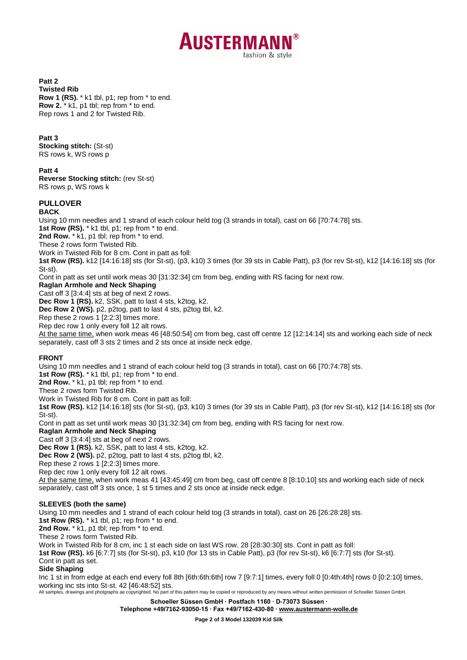

**Patt 2 Twisted Rib Row 1 (RS).** \* k1 tbl, p1; rep from \* to end. **Row 2.** \* k1, p1 tbl; rep from \* to end. Rep rows 1 and 2 for Twisted Rib.

#### **Patt 3**

**Stocking stitch:** (St-st) RS rows k, WS rows p

**Patt 4**

**Reverse Stocking stitch:** (rev St-st) RS rows p, WS rows k

# **PULLOVER**

**BACK**

Using 10 mm needles and 1 strand of each colour held tog (3 strands in total), cast on 66 [70:74:78] sts. 1st Row (RS). \* k1 tbl, p1; rep from \* to end. 2nd Row.  $*$  k1, p1 tbl; rep from  $*$  to end. These 2 rows form Twisted Rib. Work in Twisted Rib for 8 cm. Cont in patt as foll: **1st Row (RS).** k12 [14:16:18] sts (for St-st), (p3, k10) 3 times (for 39 sts in Cable Patt), p3 (for rev St-st), k12 [14:16:18] sts (for St-st). Cont in patt as set until work meas 30 [31:32:34] cm from beg, ending with RS facing for next row. **Raglan Armhole and Neck Shaping** Cast off 3 [3:4:4] sts at beg of next 2 rows. **Dec Row 1 (RS).** k2, SSK, patt to last 4 sts, k2tog, k2. **Dec Row 2 (WS).** p2, p2tog, patt to last 4 sts, p2tog tbl, k2.

Rep these 2 rows 1 [2:2:3] times more. Rep dec row 1 only every foll 12 alt rows.

At the same time, when work meas 46 [48:50:54] cm from beg, cast off centre 12 [12:14:14] sts and working each side of neck separately, cast off 3 sts 2 times and 2 sts once at inside neck edge.

# **FRONT**

Using 10 mm needles and 1 strand of each colour held tog (3 strands in total), cast on 66 [70:74:78] sts. **1st Row (RS).** \* k1 tbl, p1; rep from \* to end. 2nd Row.  $*$  k1, p1 tbl; rep from  $*$  to end. These 2 rows form Twisted Rib. Work in Twisted Rib for 8 cm. Cont in patt as foll: **1st Row (RS).** k12 [14:16:18] sts (for St-st), (p3, k10) 3 times (for 39 sts in Cable Patt), p3 (for rev St-st), k12 [14:16:18] sts (for St-st). Cont in patt as set until work meas 30 [31:32:34] cm from beg, ending with RS facing for next row. **Raglan Armhole and Neck Shaping** Cast off 3 [3:4:4] sts at beg of next 2 rows. **Dec Row 1 (RS).** k2, SSK, patt to last 4 sts, k2tog, k2. **Dec Row 2 (WS).** p2, p2tog, patt to last 4 sts, p2tog tbl, k2. Rep these 2 rows 1 [2:2:3] times more. Rep dec row 1 only every foll 12 alt rows.

At the same time, when work meas 41 [43:45:49] cm from beg, cast off centre 8 [8:10:10] sts and working each side of neck separately, cast off 3 sts once, 1 st 5 times and 2 sts once at inside neck edge.

## **SLEEVES (both the same)**

Using 10 mm needles and 1 strand of each colour held tog (3 strands in total), cast on 26 [26:28:28] sts.

**1st Row (RS).** \* k1 tbl, p1; rep from \* to end.

2nd Row.  $*$  k1, p1 tbl; rep from  $*$  to end.

These 2 rows form Twisted Rib.

Work in Twisted Rib for 8 cm, inc 1 st each side on last WS row. 28 [28:30:30] sts. Cont in patt as foll:

**1st Row (RS).** k6 [6:7:7] sts (for St-st), p3, k10 (for 13 sts in Cable Patt), p3 (for rev St-st), k6 [6:7:7] sts (for St-st).

Cont in patt as set.

#### **Side Shaping**

All samples, drawings and photgraphs ae copyrighted. No part of this pattern may be copied or reproduced by any means without written permission of Schoeller Süssen GmbH. Inc 1 st in from edge at each end every foll 8th [6th:6th:6th] row 7 [9:7:1] times, every foll 0 [0:4th:4th] rows 0 [0:2:10] times, working inc sts into St-st. 42 [46:48:52] sts.

> **Schoeller Süssen GmbH ∙ Postfach 1160 ∙ D-73073 Süssen ∙ Telephone +49/7162-93050-15 ∙ Fax +49/7162-430-80 ∙ [www.austermann-wolle.de](http://www.austermann-wolle.de/)**